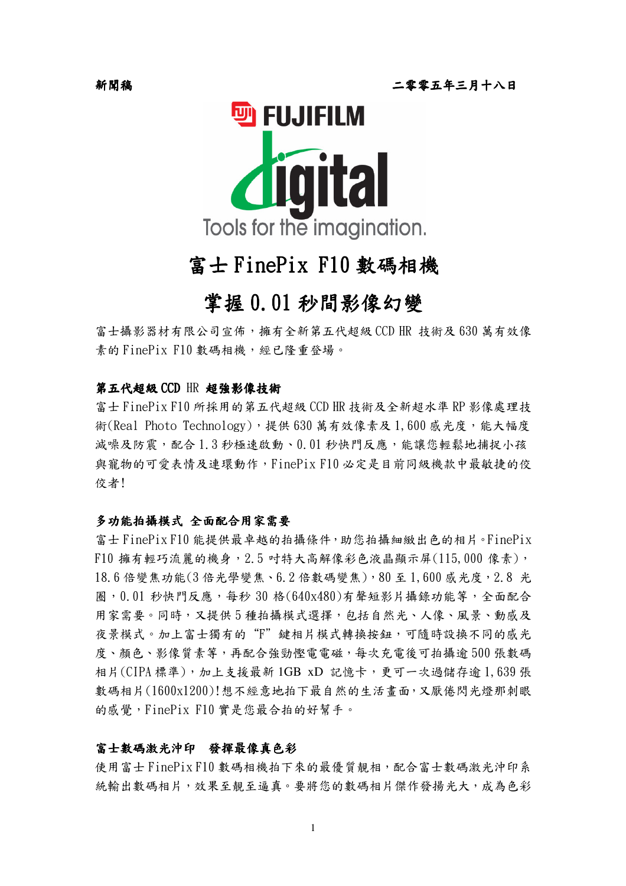

# 富士 FinePix F10 數碼相機

## 掌握 0.01 秒間影像幻變

富士攝影器材有限公司宣佈,擁有全新第五代超級 CCD HR 技術及 630 萬有效像 素的 FinePix F10 數碼相機,經已隆重登場。

#### 第五代超級CCD HR 超強影像技術

富士 FinePix F10 所採用的第五代超級 CCD HR 技術及全新超水準 RP 影像處理技 術(Real Photo Technology), 提供 630 萬有效像素及 1,600 感光度, 能大幅度 減噪及防震,配合1.3秒極速啟動、0.01秒快門反應,能讓您輕鬆地捕捉小孩 與寵物的可愛表情及連環動作,FinePixF10必定是目前同級機款中最敏捷的佼 佼者!

#### 多功能拍攝模式 全面配合用家需要

富士 FinePix F10 能提供最卓越的拍攝條件, 助您拍攝細緻出色的相片。FinePix F10 擁有輕巧流麗的機身, 2.5 吋特大高解像彩色液晶顯示屏(115,000 像素), 18.6 倍變焦功能(3 倍光學變焦、6.2 倍數碼變焦), 80 至1, 600 威光度, 2.8 光 圈, 0.01 秒快門反應, 每秒 30 格(640x480)有聲短影片攝錄功能等, 全面配合 用家需要。同時,又提供5種拍攝模式選擇,包括自然光、人像、風景、動感及 夜景模式。加上富士獨有的"F" 鍵相片模式轉換按鈕,可隨時設換不同的感光 度、顏色、影像質素等,再配合強勁慳電電磁,每次充電後可拍攝逾500張數碼 相片(CIPA標準), 加上支援最新 1GB xD 記憶卡, 更可一次過儲存逾 1,639張 數碼相片(1600x1200)!想不經意地拍下最自然的生活書面,又厭倦閃光燈那刺眼 的感覺,FinePix F10 實是您最合拍的好幫手。

#### 富士數碼激光沖印 發揮最像真色彩

使用富士 FinePix F10 數碼相機拍下來的最優質靚相, 配合富士數碼激光沖印系 統輸出數碼相片,效果至靚至逼真。要將您的數碼相片傑作發揚光大,成為色彩